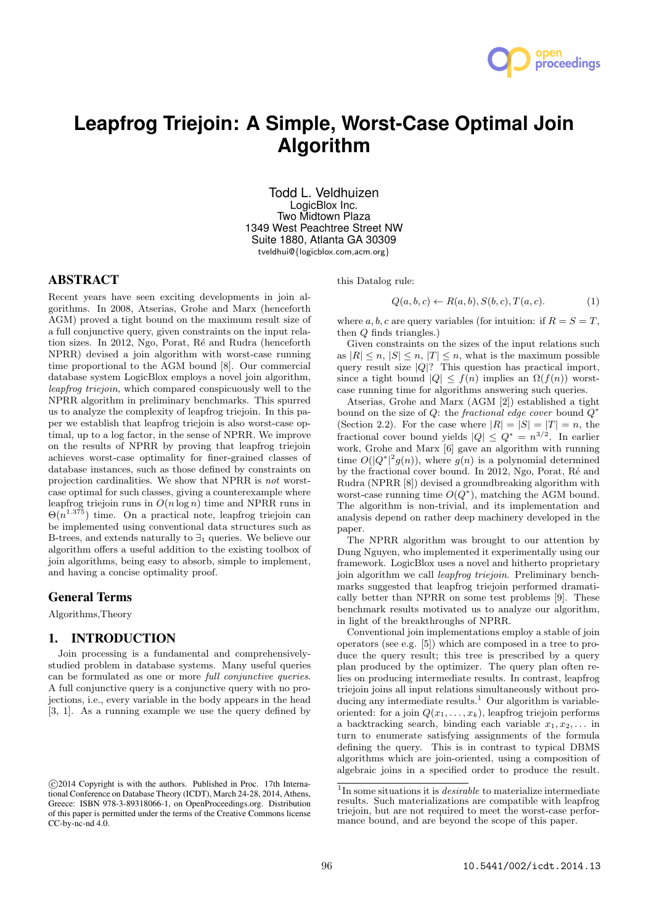

# **Leapfrog Triejoin: A Simple, Worst-Case Optimal Join Algorithm**

Todd L. Veldhuizen LogicBlox Inc. Two Midtown Plaza 1349 West Peachtree Street NW Suite 1880, Atlanta GA 30309 tveldhui@*{*logicblox.com,acm.org*}*

# ABSTRACT

Recent years have seen exciting developments in join algorithms. In 2008, Atserias, Grohe and Marx (henceforth AGM) proved a tight bound on the maximum result size of a full conjunctive query, given constraints on the input relation sizes. In 2012, Ngo, Porat, Ré and Rudra (henceforth NPRR) devised a join algorithm with worst-case running time proportional to the AGM bound [8]. Our commercial database system LogicBlox employs a novel join algorithm, *leapfrog triejoin*, which compared conspicuously well to the NPRR algorithm in preliminary benchmarks. This spurred us to analyze the complexity of leapfrog triejoin. In this paper we establish that leapfrog triejoin is also worst-case optimal, up to a log factor, in the sense of NPRR. We improve on the results of NPRR by proving that leapfrog triejoin achieves worst-case optimality for finer-grained classes of database instances, such as those defined by constraints on projection cardinalities. We show that NPRR is *not* worstcase optimal for such classes, giving a counterexample where leapfrog triejoin runs in *O*(*n* log *n*) time and NPRR runs in  $\Theta(n^{1.375})$  time. On a practical note, leapfrog triejoin can be implemented using conventional data structures such as B-trees, and extends naturally to *∃*<sup>1</sup> queries. We believe our algorithm offers a useful addition to the existing toolbox of join algorithms, being easy to absorb, simple to implement, and having a concise optimality proof.

## General Terms

Algorithms,Theory

#### 1. INTRODUCTION

Join processing is a fundamental and comprehensivelystudied problem in database systems. Many useful queries can be formulated as one or more *full conjunctive queries*. A full conjunctive query is a conjunctive query with no projections, i.e., every variable in the body appears in the head [3, 1]. As a running example we use the query defined by this Datalog rule:

$$
Q(a, b, c) \leftarrow R(a, b), S(b, c), T(a, c). \tag{1}
$$

where *a, b, c* are query variables (for intuition: if  $R = S = T$ , then *Q* finds triangles.)

Given constraints on the sizes of the input relations such as  $|R| \leq n, |S| \leq n, |T| \leq n$ , what is the maximum possible query result size *|Q|*? This question has practical import, since a tight bound  $|Q| \leq f(n)$  implies an  $\Omega(f(n))$  worstcase running time for algorithms answering such queries.

Atserias, Grohe and Marx (AGM [2]) established a tight bound on the size of *Q*: the *fractional edge cover* bound *Q ∗* (Section 2.2). For the case where  $|R| = |S| = |T| = n$ , the fractional cover bound yields  $|Q| \leq Q^* = n^{3/2}$ . In earlier work, Grohe and Marx [6] gave an algorithm with running time  $O(|Q^*|^2 g(n))$ , where  $g(n)$  is a polynomial determined by the fractional cover bound. In 2012, Ngo, Porat, Ré and Rudra (NPRR [8]) devised a groundbreaking algorithm with worst-case running time  $O(Q^*)$ , matching the AGM bound. The algorithm is non-trivial, and its implementation and analysis depend on rather deep machinery developed in the paper.

The NPRR algorithm was brought to our attention by Dung Nguyen, who implemented it experimentally using our framework. LogicBlox uses a novel and hitherto proprietary join algorithm we call *leapfrog triejoin*. Preliminary benchmarks suggested that leapfrog triejoin performed dramatically better than NPRR on some test problems [9]. These benchmark results motivated us to analyze our algorithm, in light of the breakthroughs of NPRR.

Conventional join implementations employ a stable of join operators (see e.g. [5]) which are composed in a tree to produce the query result; this tree is prescribed by a query plan produced by the optimizer. The query plan often relies on producing intermediate results. In contrast, leapfrog triejoin joins all input relations simultaneously without producing any intermediate results.<sup>1</sup> Our algorithm is variableoriented: for a join  $Q(x_1, \ldots, x_k)$ , leapfrog triejoin performs a backtracking search, binding each variable  $x_1, x_2, \ldots$  in turn to enumerate satisfying assignments of the formula defining the query. This is in contrast to typical DBMS algorithms which are join-oriented, using a composition of algebraic joins in a specified order to produce the result.

*<sup>⃝</sup>*c 2014 Copyright is with the authors. Published in Proc. 17th International Conference on Database Theory (ICDT), March 24-28, 2014, Athens, Greece: ISBN 978-3-89318066-1, on OpenProceedings.org. Distribution of this paper is permitted under the terms of the Creative Commons license  $CC-bv-nc-nd 4.0$ .

<sup>&</sup>lt;sup>1</sup>In some situations it is *desirable* to materialize intermediate results. Such materializations are compatible with leapfrog triejoin, but are not required to meet the worst-case performance bound, and are beyond the scope of this paper.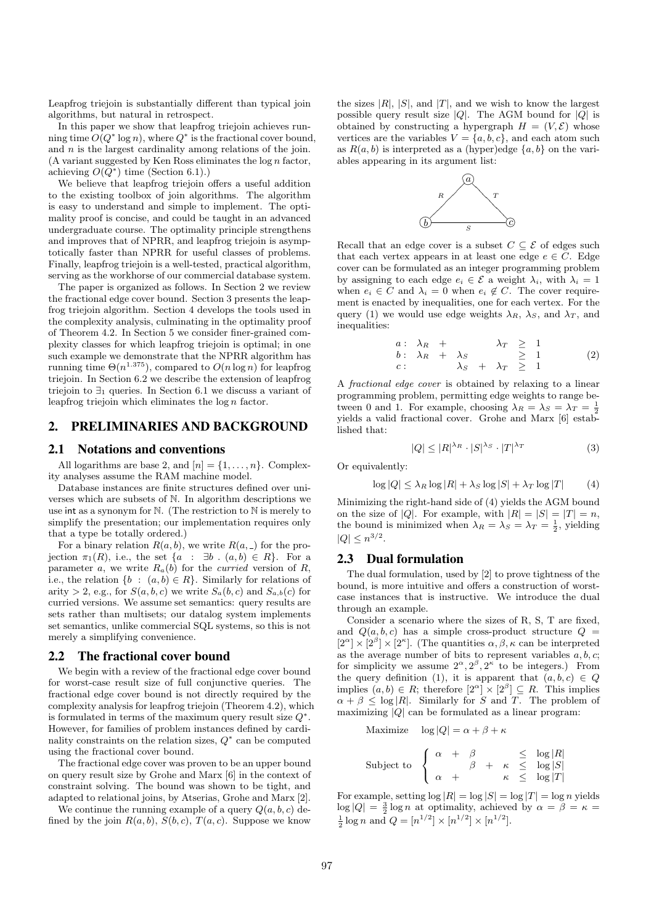Leapfrog triejoin is substantially different than typical join algorithms, but natural in retrospect.

In this paper we show that leapfrog triejoin achieves running time  $O(Q^* \log n)$ , where  $Q^*$  is the fractional cover bound, and *n* is the largest cardinality among relations of the join. (A variant suggested by Ken Ross eliminates the log *n* factor, achieving  $O(Q^*)$  time (Section 6.1).)

We believe that leapfrog triejoin offers a useful addition to the existing toolbox of join algorithms. The algorithm is easy to understand and simple to implement. The optimality proof is concise, and could be taught in an advanced undergraduate course. The optimality principle strengthens and improves that of NPRR, and leapfrog triejoin is asymptotically faster than NPRR for useful classes of problems. Finally, leapfrog triejoin is a well-tested, practical algorithm, serving as the workhorse of our commercial database system.

The paper is organized as follows. In Section 2 we review the fractional edge cover bound. Section 3 presents the leapfrog triejoin algorithm. Section 4 develops the tools used in the complexity analysis, culminating in the optimality proof of Theorem 4.2. In Section 5 we consider finer-grained complexity classes for which leapfrog triejoin is optimal; in one such example we demonstrate that the NPRR algorithm has running time  $\Theta(n^{1.375})$ , compared to  $O(n \log n)$  for leapfrog triejoin. In Section 6.2 we describe the extension of leapfrog triejoin to *∃*<sup>1</sup> queries. In Section 6.1 we discuss a variant of leapfrog triejoin which eliminates the log *n* factor.

# 2. PRELIMINARIES AND BACKGROUND

#### 2.1 Notations and conventions

All logarithms are base 2, and  $[n] = \{1, \ldots, n\}$ . Complexity analyses assume the RAM machine model.

Database instances are finite structures defined over universes which are subsets of N. In algorithm descriptions we use int as a synonym for N. (The restriction to N is merely to simplify the presentation; our implementation requires only that a type be totally ordered.)

For a binary relation  $R(a, b)$ , we write  $R(a, )$  for the projection  $\pi_1(R)$ , i.e., the set  $\{a : \exists b : (a, b) \in R\}$ . For a parameter *a*, we write  $R_a(b)$  for the *curried* version of  $R$ , i.e., the relation  $\{b : (a, b) \in R\}$ . Similarly for relations of arity  $> 2$ , e.g., for  $S(a, b, c)$  we write  $S_a(b, c)$  and  $S_{a,b}(c)$  for curried versions. We assume set semantics: query results are sets rather than multisets; our datalog system implements set semantics, unlike commercial SQL systems, so this is not merely a simplifying convenience.

#### 2.2 The fractional cover bound

We begin with a review of the fractional edge cover bound for worst-case result size of full conjunctive queries. The fractional edge cover bound is not directly required by the complexity analysis for leapfrog triejoin (Theorem 4.2), which is formulated in terms of the maximum query result size *Q ∗* . However, for families of problem instances defined by cardinality constraints on the relation sizes, *Q ∗* can be computed using the fractional cover bound.

The fractional edge cover was proven to be an upper bound on query result size by Grohe and Marx [6] in the context of constraint solving. The bound was shown to be tight, and adapted to relational joins, by Atserias, Grohe and Marx [2].

We continue the running example of a query  $Q(a, b, c)$  defined by the join  $R(a, b)$ ,  $S(b, c)$ ,  $T(a, c)$ . Suppose we know

the sizes  $|R|$ ,  $|S|$ , and  $|T|$ , and we wish to know the largest possible query result size *|Q|*. The AGM bound for *|Q|* is obtained by constructing a hypergraph  $H = (V, \mathcal{E})$  whose vertices are the variables  $V = \{a, b, c\}$ , and each atom such as  $R(a, b)$  is interpreted as a (hyper)edge  $\{a, b\}$  on the variables appearing in its argument list:



Recall that an edge cover is a subset  $C \subseteq \mathcal{E}$  of edges such that each vertex appears in at least one edge  $e \in C$ . Edge cover can be formulated as an integer programming problem by assigning to each edge  $e_i \in \mathcal{E}$  a weight  $\lambda_i$ , with  $\lambda_i = 1$ when  $e_i \in C$  and  $\lambda_i = 0$  when  $e_i \notin C$ . The cover requirement is enacted by inequalities, one for each vertex. For the query (1) we would use edge weights  $\lambda_R$ ,  $\lambda_S$ , and  $\lambda_T$ , and inequalities:

$$
\begin{array}{rcl}\na: & \lambda_R & + & \lambda_T & \geq 1 \\
b: & \lambda_R & + & \lambda_S & \geq 1 \\
c: & \lambda_S & + & \lambda_T & \geq 1\n\end{array} \tag{2}
$$

A *fractional edge cover* is obtained by relaxing to a linear programming problem, permitting edge weights to range between 0 and 1. For example, choosing  $\lambda_R = \lambda_S = \lambda_T = \frac{1}{2}$ yields a valid fractional cover. Grohe and Marx [6] established that:

$$
|Q| \le |R|^{\lambda_R} \cdot |S|^{\lambda_S} \cdot |T|^{\lambda_T} \tag{3}
$$

Or equivalently:

$$
\log|Q| \le \lambda_R \log|R| + \lambda_S \log|S| + \lambda_T \log|T| \tag{4}
$$

Minimizing the right-hand side of (4) yields the AGM bound on the size of  $|Q|$ . For example, with  $|R| = |S| = |T| = n$ , the bound is minimized when  $\lambda_R = \lambda_S = \lambda_T = \frac{1}{2}$ , yielding  $|Q| \leq n^{3/2}$ .

# 2.3 Dual formulation

The dual formulation, used by [2] to prove tightness of the bound, is more intuitive and offers a construction of worstcase instances that is instructive. We introduce the dual through an example.

Consider a scenario where the sizes of R, S, T are fixed, and  $Q(a, b, c)$  has a simple cross-product structure  $Q =$  $[2^{\alpha}] \times [2^{\beta}] \times [2^{\kappa}]$ . (The quantities  $\alpha, \beta, \kappa$  can be interpreted as the average number of bits to represent variables *a, b, c*; for simplicity we assume  $2^{\alpha}, 2^{\beta}, 2^{\kappa}$  to be integers.) From the query definition (1), it is apparent that  $(a, b, c) \in Q$ implies  $(a, b) \in R$ ; therefore  $[2^{\alpha}] \times [2^{\beta}] \subseteq R$ . This implies  $\alpha + \beta \leq \log |R|$ . Similarly for *S* and *T*. The problem of maximizing *|Q|* can be formulated as a linear program:

Maximize  $\log |Q| = \alpha + \beta + \kappa$ 

$$
\text{Subject to } \begin{cases} \alpha + \beta & \leq \log|R|\\ \alpha + \beta + \kappa & \leq \log|S|\\ \alpha + \kappa & \leq \log|T| \end{cases}
$$

For example, setting  $\log |R| = \log |S| = \log |T| = \log n$  yields  $\log |Q| = \frac{3}{2} \log n$  at optimality, achieved by  $\alpha = \beta = \kappa =$  $\frac{1}{2}$  log *n* and  $Q = [n^{1/2}] \times [n^{1/2}] \times [n^{1/2}]$ .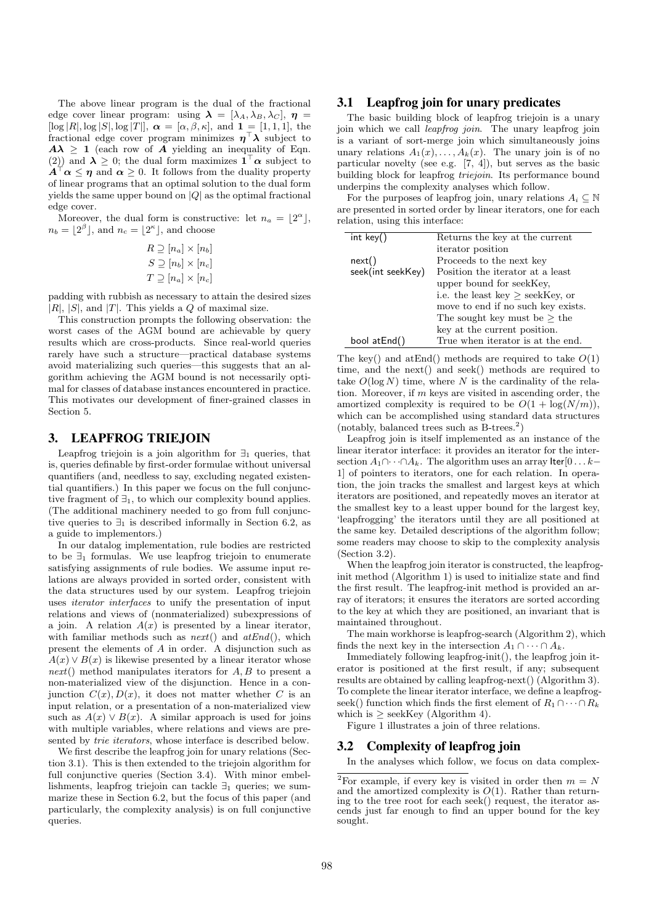The above linear program is the dual of the fractional edge cover linear program: using  $\lambda = [\lambda_A, \lambda_B, \lambda_C], \eta =$  $[\log |R|, \log |S|, \log |T|], \alpha = [\alpha, \beta, \kappa], \text{ and } \mathbf{1} = [1, 1, 1], \text{ the }$ fractional edge cover program minimizes *η <sup>⊤</sup>λ* subject to  $A\lambda \geq 1$  (each row of *A* yielding an inequality of Eqn. (2)) and  $\lambda \geq 0$ ; the dual form maximizes  $1^{\dagger} \alpha$  subject to  $A^{\mathsf{T}} \alpha \leq \eta$  and  $\alpha \geq 0$ . It follows from the duality property of linear programs that an optimal solution to the dual form yields the same upper bound on *|Q|* as the optimal fractional edge cover.

Moreover, the dual form is constructive: let  $n_a = \lfloor 2^{\alpha} \rfloor$ ,  $n_b = \lfloor 2^{\beta} \rfloor$ , and  $n_c = \lfloor 2^{\kappa} \rfloor$ , and choose

$$
R \supseteq [n_a] \times [n_b]
$$
  
\n
$$
S \supseteq [n_b] \times [n_c]
$$
  
\n
$$
T \supseteq [n_a] \times [n_c]
$$

padding with rubbish as necessary to attain the desired sizes  $|R|$ ,  $|S|$ , and  $|T|$ . This yields a *Q* of maximal size.

This construction prompts the following observation: the worst cases of the AGM bound are achievable by query results which are cross-products. Since real-world queries rarely have such a structure—practical database systems avoid materializing such queries—this suggests that an algorithm achieving the AGM bound is not necessarily optimal for classes of database instances encountered in practice. This motivates our development of finer-grained classes in Section 5.

# 3. LEAPFROG TRIEJOIN

Leapfrog triejoin is a join algorithm for *∃*<sup>1</sup> queries, that is, queries definable by first-order formulae without universal quantifiers (and, needless to say, excluding negated existential quantifiers.) In this paper we focus on the full conjunctive fragment of *∃*1, to which our complexity bound applies. (The additional machinery needed to go from full conjunctive queries to  $\exists_1$  is described informally in Section 6.2, as a guide to implementors.)

In our datalog implementation, rule bodies are restricted to be *∃*<sup>1</sup> formulas. We use leapfrog triejoin to enumerate satisfying assignments of rule bodies. We assume input relations are always provided in sorted order, consistent with the data structures used by our system. Leapfrog triejoin uses *iterator interfaces* to unify the presentation of input relations and views of (nonmaterialized) subexpressions of a join. A relation  $A(x)$  is presented by a linear iterator, with familiar methods such as *next*() and *atEnd*(), which present the elements of *A* in order. A disjunction such as  $A(x) \vee B(x)$  is likewise presented by a linear iterator whose *next*() method manipulates iterators for *A, B* to present a non-materialized view of the disjunction. Hence in a conjunction  $C(x)$ ,  $D(x)$ , it does not matter whether *C* is an input relation, or a presentation of a non-materialized view such as  $A(x) \vee B(x)$ . A similar approach is used for joins with multiple variables, where relations and views are presented by *trie iterators*, whose interface is described below.

We first describe the leapfrog join for unary relations (Section 3.1). This is then extended to the triejoin algorithm for full conjunctive queries (Section 3.4). With minor embellishments, leapfrog triejoin can tackle *∃*<sup>1</sup> queries; we summarize these in Section 6.2, but the focus of this paper (and particularly, the complexity analysis) is on full conjunctive queries.

# 3.1 Leapfrog join for unary predicates

The basic building block of leapfrog triejoin is a unary join which we call *leapfrog join*. The unary leapfrog join is a variant of sort-merge join which simultaneously joins unary relations  $A_1(x), \ldots, A_k(x)$ . The unary join is of no particular novelty (see e.g. [7, 4]), but serves as the basic building block for leapfrog *triejoin*. Its performance bound underpins the complexity analyses which follow.

For the purposes of leapfrog join, unary relations  $A_i \subseteq \mathbb{N}$ are presented in sorted order by linear iterators, one for each relation, using this interface:

| int key()         | Returns the key at the current        |  |
|-------------------|---------------------------------------|--|
|                   | iterator position                     |  |
| next()            | Proceeds to the next key              |  |
| seek(int seekKey) | Position the iterator at a least      |  |
|                   | upper bound for seekKey,              |  |
|                   | i.e. the least key $\geq$ seekKey, or |  |
|                   | move to end if no such key exists.    |  |
|                   | The sought key must be $>$ the        |  |
|                   | key at the current position.          |  |
| bool at End()     | True when iterator is at the end.     |  |

The key() and atEnd() methods are required to take *O*(1) time, and the next() and seek() methods are required to take  $O(\log N)$  time, where *N* is the cardinality of the relation. Moreover, if *m* keys are visited in ascending order, the amortized complexity is required to be  $O(1 + \log(N/m))$ . which can be accomplished using standard data structures  $(notably, balanced trees such as B-trees.<sup>2</sup>)$ 

Leapfrog join is itself implemented as an instance of the linear iterator interface: it provides an iterator for the intersection  $A_1 \cap \cdots \cap A_k$ . The algorithm uses an array Iter[0 . . . k− 1] of pointers to iterators, one for each relation. In operation, the join tracks the smallest and largest keys at which iterators are positioned, and repeatedly moves an iterator at the smallest key to a least upper bound for the largest key, 'leapfrogging' the iterators until they are all positioned at the same key. Detailed descriptions of the algorithm follow; some readers may choose to skip to the complexity analysis (Section 3.2).

When the leapfrog join iterator is constructed, the leapfroginit method (Algorithm 1) is used to initialize state and find the first result. The leapfrog-init method is provided an array of iterators; it ensures the iterators are sorted according to the key at which they are positioned, an invariant that is maintained throughout.

The main workhorse is leapfrog-search (Algorithm 2), which finds the next key in the intersection  $A_1 \cap \cdots \cap A_k$ .

Immediately following leapfrog-init(), the leapfrog join iterator is positioned at the first result, if any; subsequent results are obtained by calling leapfrog-next() (Algorithm 3). To complete the linear iterator interface, we define a leapfrogseek() function which finds the first element of  $R_1 \cap \cdots \cap R_k$ which is  $\geq$  seekKey (Algorithm 4).

Figure 1 illustrates a join of three relations.

# 3.2 Complexity of leapfrog join

In the analyses which follow, we focus on data complex-

<sup>&</sup>lt;sup>2</sup>For example, if every key is visited in order then  $m = N$ and the amortized complexity is *O*(1). Rather than returning to the tree root for each seek() request, the iterator ascends just far enough to find an upper bound for the key sought.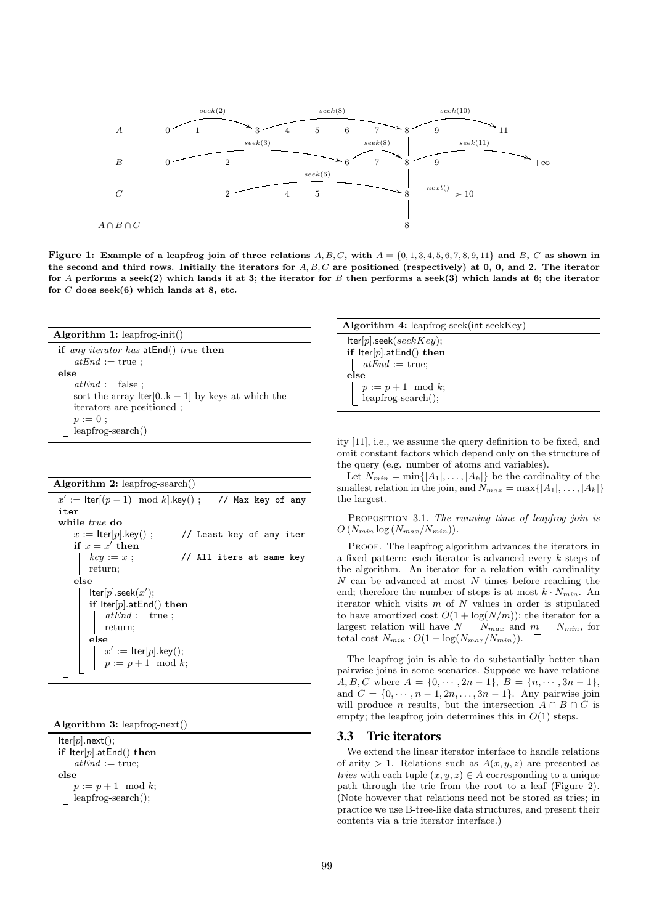

Figure 1: Example of a leapfrog join of three relations A, B, C, with  $A = \{0, 1, 3, 4, 5, 6, 7, 8, 9, 11\}$  and B, C as shown in **the second and third rows. Initially the iterators for** *A, B, C* **are positioned (respectively) at 0, 0, and 2. The iterator for** *A* **performs a seek(2) which lands it at 3; the iterator for** *B* **then performs a seek(3) which lands at 6; the iterator for** *C* **does seek(6) which lands at 8, etc.**

| Algorithm 1: $\text{leapfrog-int}()$                    |  |  |  |
|---------------------------------------------------------|--|--|--|
| if any iterator has at $End()$ true then                |  |  |  |
| $atEnd := true;$                                        |  |  |  |
| else                                                    |  |  |  |
| $atEnd := false;$                                       |  |  |  |
| sort the array $\text{Iter}[0k-1]$ by keys at which the |  |  |  |
| iterators are positioned;                               |  |  |  |
|                                                         |  |  |  |
| $p := 0;$<br>leapfrog-search()                          |  |  |  |

**Algorithm 2:** leapfrog-search()

|                                                            | $x' := \text{Iter}[(p-1) \mod k].\text{key}();$ // Max key of any |
|------------------------------------------------------------|-------------------------------------------------------------------|
| iter                                                       |                                                                   |
| while true do                                              |                                                                   |
| $x := \text{Iter}[p].\text{key}($ );                       | // Least key of any iter                                          |
| if $x = x'$ then                                           |                                                                   |
|                                                            | // All iters at same key                                          |
| $key := x ;$<br>return;                                    |                                                                   |
| else                                                       |                                                                   |
| $\mathsf{Iter}[p].\mathsf{seek}(x');$                      |                                                                   |
| if $\text{Iter}[p].\text{atEnd}()$ then                    |                                                                   |
| $atEnd := \text{true};$                                    |                                                                   |
| return;                                                    |                                                                   |
| else                                                       |                                                                   |
|                                                            |                                                                   |
| $x' := \mathsf{Iter}[p].\mathsf{key}();\ p := p+1 \mod k;$ |                                                                   |
|                                                            |                                                                   |

**Algorithm 3:** leapfrog-next()

Iter[*p*]*.*next(); **if** Iter[*p*]*.*atEnd() **then**  $atEnd :=$  true; **else**  $p := p + 1 \mod k;$ leapfrog-search();

| Algorithm $4$ : leapfrog-seek(int seekKey) |  |
|--------------------------------------------|--|
| $\textsf{Iter}[p].\textsf{seek}(seekKey);$ |  |
| if $\text{Iter}[p].\text{atEnd}()$ then    |  |
| $atEnd := true;$                           |  |
| else                                       |  |
| $p := p + 1 \mod k;$<br>leapfrog-search(); |  |

ity [11], i.e., we assume the query definition to be fixed, and omit constant factors which depend only on the structure of the query (e.g. number of atoms and variables).

Let  $N_{min} = \min\{|A_1|, \ldots, |A_k|\}$  be the cardinality of the smallest relation in the join, and  $N_{max} = \max\{|A_1|, \ldots, |A_k|\}$ the largest.

Proposition 3.1. *The running time of leapfrog join is*  $O(N_{min} \log (N_{max}/N_{min}))$ .

PROOF. The leapfrog algorithm advances the iterators in a fixed pattern: each iterator is advanced every *k* steps of the algorithm. An iterator for a relation with cardinality *N* can be advanced at most *N* times before reaching the end; therefore the number of steps is at most  $k \cdot N_{min}$ . An iterator which visits *m* of *N* values in order is stipulated to have amortized cost  $O(1 + \log(N/m))$ ; the iterator for a largest relation will have  $N = N_{max}$  and  $m = N_{min}$ , for total cost  $N_{min} \cdot O(1 + \log(N_{max}/N_{min}))$ .  $\Box$ 

The leapfrog join is able to do substantially better than pairwise joins in some scenarios. Suppose we have relations  $A, B, C$  where  $A = \{0, \dots, 2n - 1\}, B = \{n, \dots, 3n - 1\},$ and  $C = \{0, \dots, n-1, 2n, \dots, 3n-1\}$ . Any pairwise join will produce *n* results, but the intersection  $A \cap B \cap C$  is empty; the leapfrog join determines this in  $O(1)$  steps.

#### 3.3 Trie iterators

We extend the linear iterator interface to handle relations of arity  $> 1$ . Relations such as  $A(x, y, z)$  are presented as *tries* with each tuple  $(x, y, z) \in A$  corresponding to a unique path through the trie from the root to a leaf (Figure 2). (Note however that relations need not be stored as tries; in practice we use B-tree-like data structures, and present their contents via a trie iterator interface.)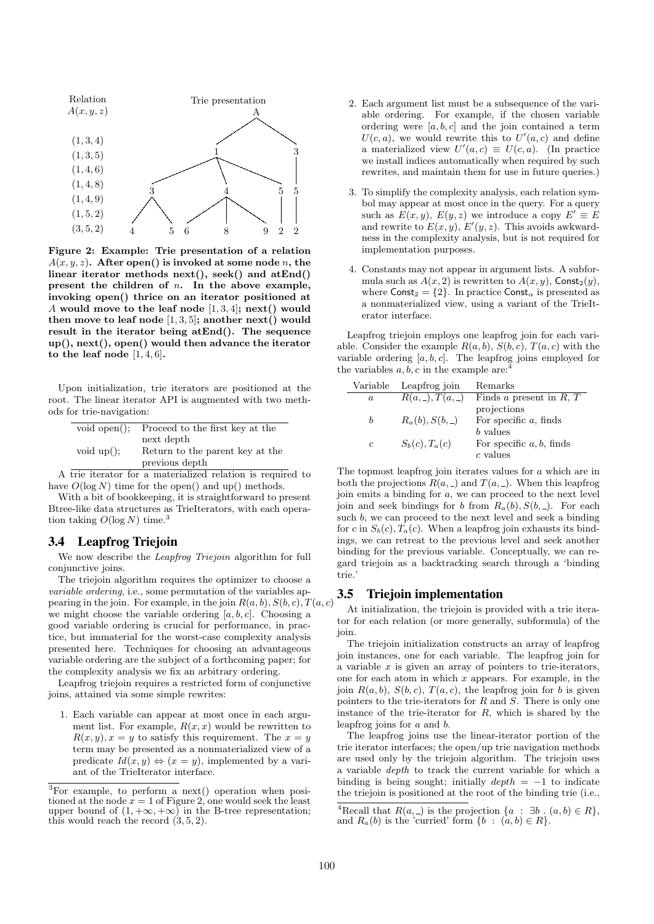

**Figure 2: Example: Trie presentation of a relation**  $A(x, y, z)$ **.** After open() is invoked at some node *n*, the **linear iterator methods next(), seek() and atEnd() present the children of** *n***. In the above example, invoking open() thrice on an iterator positioned at** *A* **would move to the leaf node** [1*,* 3*,* 4]**; next() would then move to leaf node**  $[1, 3, 5]$ ; another next() would **result in the iterator being atEnd(). The sequence up(), next(), open() would then advance the iterator to the leaf node** [1*,* 4*,* 6]**.**

Upon initialization, trie iterators are positioned at the root. The linear iterator API is augmented with two methods for trie-navigation:

| void open $()$ ; | Proceed to the first key at the |
|------------------|---------------------------------|
|                  | next depth                      |
| void $up$ ;      | Return to the parent key at the |
|                  | previous depth                  |

A trie iterator for a materialized relation is required to have  $O(\log N)$  time for the open() and up() methods.

With a bit of bookkeeping, it is straightforward to present Btree-like data structures as TrieIterators, with each operation taking  $O(\log N)$  time.<sup>3</sup>

#### 3.4 Leapfrog Triejoin

We now describe the *Leapfrog Triejoin* algorithm for full conjunctive joins.

The triejoin algorithm requires the optimizer to choose a *variable ordering*, i.e., some permutation of the variables appearing in the join. For example, in the join  $R(a, b)$ *,*  $S(b, c)$ *, T*(*a, c*) we might choose the variable ordering  $[a, b, c]$ . Choosing a good variable ordering is crucial for performance, in practice, but immaterial for the worst-case complexity analysis presented here. Techniques for choosing an advantageous variable ordering are the subject of a forthcoming paper; for the complexity analysis we fix an arbitrary ordering.

Leapfrog triejoin requires a restricted form of conjunctive joins, attained via some simple rewrites:

1. Each variable can appear at most once in each argument list. For example,  $R(x, x)$  would be rewritten to  $R(x, y), x = y$  to satisfy this requirement. The  $x = y$ term may be presented as a nonmaterialized view of a predicate  $Id(x, y) \Leftrightarrow (x = y)$ , implemented by a variant of the TrieIterator interface.

- 2. Each argument list must be a subsequence of the variable ordering. For example, if the chosen variable ordering were [*a, b, c*] and the join contained a term  $U(c, a)$ , we would rewrite this to  $U'(a, c)$  and define a materialized view  $U'(a, c) \equiv U(c, a)$ . (In practice we install indices automatically when required by such rewrites, and maintain them for use in future queries.)
- 3. To simplify the complexity analysis, each relation symbol may appear at most once in the query. For a query such as  $E(x, y)$ ,  $E(y, z)$  we introduce a copy  $E' \equiv E$ and rewrite to  $E(x, y)$ ,  $E'(y, z)$ . This avoids awkwardness in the complexity analysis, but is not required for implementation purposes.
- 4. Constants may not appear in argument lists. A subformula such as  $A(x, 2)$  is rewritten to  $A(x, y)$ , Const<sub>2</sub>(*y*), where  $\text{Const}_2 = \{2\}$ . In practice  $\text{Const}_\alpha$  is presented as a nonmaterialized view, using a variant of the TrieIterator interface.

Leapfrog triejoin employs one leapfrog join for each variable. Consider the example  $R(a, b)$ ,  $S(b, c)$ ,  $T(a, c)$  with the variable ordering [*a, b, c*]. The leapfrog joins employed for the variables  $a, b, c$  in the example are:

| Variable | Leapfrog join        | Remarks                     |
|----------|----------------------|-----------------------------|
| a        | $R(a, \_), T(a, \_)$ | Finds a present in $R, T$   |
|          |                      | projections                 |
| h        | $R_a(b), S(b, \_)$   | For specific $a$ , finds    |
|          |                      | $b$ values                  |
| c        | $S_b(c), T_a(c)$     | For specific $a, b$ , finds |
|          |                      | $c$ values                  |

The topmost leapfrog join iterates values for *a* which are in both the projections  $R(a, \_)$  and  $T(a, \_)$ . When this leapfrog join emits a binding for *a*, we can proceed to the next level join and seek bindings for *b* from  $R_a(b), S(b, \_)$ . For each such *b*, we can proceed to the next level and seek a binding for *c* in  $S_b(c)$ ,  $T_a(c)$ . When a leapfrog join exhausts its bindings, we can retreat to the previous level and seek another binding for the previous variable. Conceptually, we can regard triejoin as a backtracking search through a 'binding trie.'

# 3.5 Triejoin implementation

At initialization, the triejoin is provided with a trie iterator for each relation (or more generally, subformula) of the join.

The triejoin initialization constructs an array of leapfrog join instances, one for each variable. The leapfrog join for a variable *x* is given an array of pointers to trie-iterators, one for each atom in which *x* appears. For example, in the join  $R(a, b)$ ,  $S(b, c)$ ,  $T(a, c)$ , the leapfrog join for *b* is given pointers to the trie-iterators for *R* and *S*. There is only one instance of the trie-iterator for *R*, which is shared by the leapfrog joins for *a* and *b*.

The leapfrog joins use the linear-iterator portion of the trie iterator interfaces; the open/up trie navigation methods are used only by the triejoin algorithm. The triejoin uses a variable *depth* to track the current variable for which a binding is being sought; initially *depth* = *−*1 to indicate the triejoin is positioned at the root of the binding trie (i.e.,

 $\overline{{}^3\text{For}}$  example, to perform a next() operation when positioned at the node  $x = 1$  of Figure 2, one would seek the least upper bound of  $(1, +\infty, +\infty)$  in the B-tree representation; this would reach the record (3*,* 5*,* 2).

<sup>&</sup>lt;sup>4</sup>Recall that  $R(a, \_)$  is the projection  $\{a : \exists b : (a, b) \in R\}$ , and  $R_a(b)$  is the 'curried' form  $\{b : (a, b) \in R\}$ .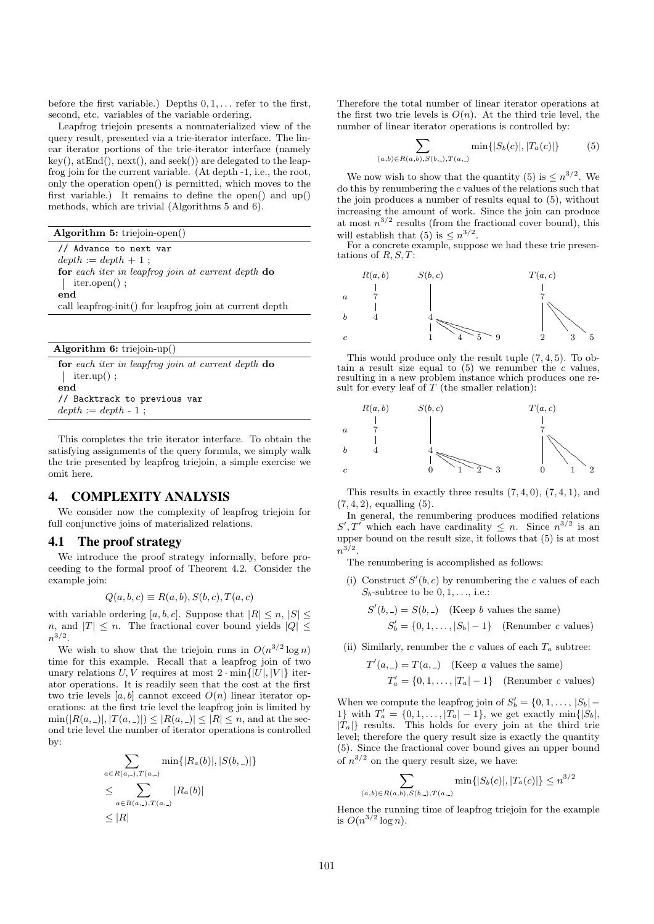before the first variable.) Depths 0*,* 1*, . . .* refer to the first, second, etc. variables of the variable ordering.

Leapfrog triejoin presents a nonmaterialized view of the query result, presented via a trie-iterator interface. The linear iterator portions of the trie-iterator interface (namely  $key(), \, \text{atEnd}(), \, \text{next}(), \, \text{and } \text{seek}()$  are delegated to the leapfrog join for the current variable. (At depth -1, i.e., the root, only the operation open() is permitted, which moves to the first variable.) It remains to define the open() and up() methods, which are trivial (Algorithms 5 and 6).

**Algorithm 5:** triejoin-open() // Advance to next var  $depth := depth + 1$ ; **for** *each iter in leapfrog join at current depth* **do** | iter.open(); **end** call leapfrog-init() for leapfrog join at current depth

**Algorithm 6:** triejoin-up()

**for** *each iter in leapfrog join at current depth* **do** | iter.up(); **end** // Backtrack to previous var  $depth := depth - 1$ ;

This completes the trie iterator interface. To obtain the satisfying assignments of the query formula, we simply walk the trie presented by leapfrog triejoin, a simple exercise we omit here.

# 4. COMPLEXITY ANALYSIS

We consider now the complexity of leapfrog triejoin for full conjunctive joins of materialized relations.

#### 4.1 The proof strategy

We introduce the proof strategy informally, before proceeding to the formal proof of Theorem 4.2. Consider the example join:

$$
Q(a, b, c) \equiv R(a, b), S(b, c), T(a, c)
$$

with variable ordering  $[a, b, c]$ . Suppose that  $|R| \leq n, |S| \leq$ *n*, and  $|T| \leq n$ . The fractional cover bound yields  $|Q| \leq$ *n* 3*/*2 .

We wish to show that the triejoin runs in  $O(n^{3/2} \log n)$ time for this example. Recall that a leapfrog join of two unary relations  $U, V$  requires at most  $2 \cdot \min\{|U|, |V|\}$  iterator operations. It is readily seen that the cost at the first two trie levels  $[a, b]$  cannot exceed  $O(n)$  linear iterator operations: at the first trie level the leapfrog join is limited by  $\min(|R(a, -)|, |T(a, -)|) \leq |R(a, -)| \leq |R| \leq n$ , and at the second trie level the number of iterator operations is controlled by:

$$
\sum_{a \in R(a,1), T(a,2)} \min\{|R_a(b)|, |S(b,2)|\}
$$
  
\n
$$
\leq \sum_{a \in R(a,2), T(a,2)} |R_a(b)|
$$
  
\n
$$
\leq |R|
$$

Therefore the total number of linear iterator operations at the first two trie levels is  $O(n)$ . At the third trie level, the number of linear iterator operations is controlled by:

$$
\sum_{(a,b)\in R(a,b),S(b,-),T(a,-)} \min\{|S_b(c)|,|T_a(c)|\}\tag{5}
$$

We now wish to show that the quantity (5) is  $\leq n^{3/2}$ . We do this by renumbering the *c* values of the relations such that the join produces a number of results equal to (5), without increasing the amount of work. Since the join can produce at most  $n^{3/2}$  results (from the fractional cover bound), this will establish that (5) is  $\leq n^{3/2}$ .

For a concrete example, suppose we had these trie presentations of *R, S, T*:



This would produce only the result tuple (7*,* 4*,* 5). To obtain a result size equal to  $(5)$  we renumber the *c* values, resulting in a new problem instance which produces one result for every leaf of *T* (the smaller relation):



This results in exactly three results (7*,* 4*,* 0), (7*,* 4*,* 1), and (7*,* 4*,* 2), equalling (5).

In general, the renumbering produces modified relations  $S', T'$  which each have cardinality  $\leq n$ . Since  $n^{3/2}$  is an upper bound on the result size, it follows that (5) is at most  $n^{3/2}$ .

The renumbering is accomplished as follows:

(i) Construct  $S'(b, c)$  by renumbering the *c* values of each *Sb*-subtree to be 0*,* 1*, . . .*, i.e.:

$$
S'(b, \_) = S(b, \_)
$$
 (Keep *b* values the same)  
 $S'_b = \{0, 1, \ldots, |S_b| - 1\}$  (Renumber *c* values)

(ii) Similarly, renumber the *c* values of each  $T_a$  subtree:

$$
T'(a, ) = T(a, )
$$
 (Keep *a* values the same)  

$$
T'_a = \{0, 1, ..., |T_a| - 1\}
$$
 (Remember *c* values)

When we compute the leapfrog join of  $S'_{b} = \{0, 1, \ldots, |S_{b}| - \}$ 1} with  $T'_a = \{0, 1, \ldots, |T_a| - 1\}$ , we get exactly min $\{|S_b|$ ,  $|T_a|$ } results. This holds for every join at the third trie level; therefore the query result size is exactly the quantity (5). Since the fractional cover bound gives an upper bound of  $n^{3/2}$  on the query result size, we have:

$$
\sum_{(a,b)\in R(a,b),S(b,-),T(a,-)} \min\{|S_b(c)|,|T_a(c)|\} \le n^{3/2}
$$

Hence the running time of leapfrog triejoin for the example is  $O(n^{3/2} \log n)$ .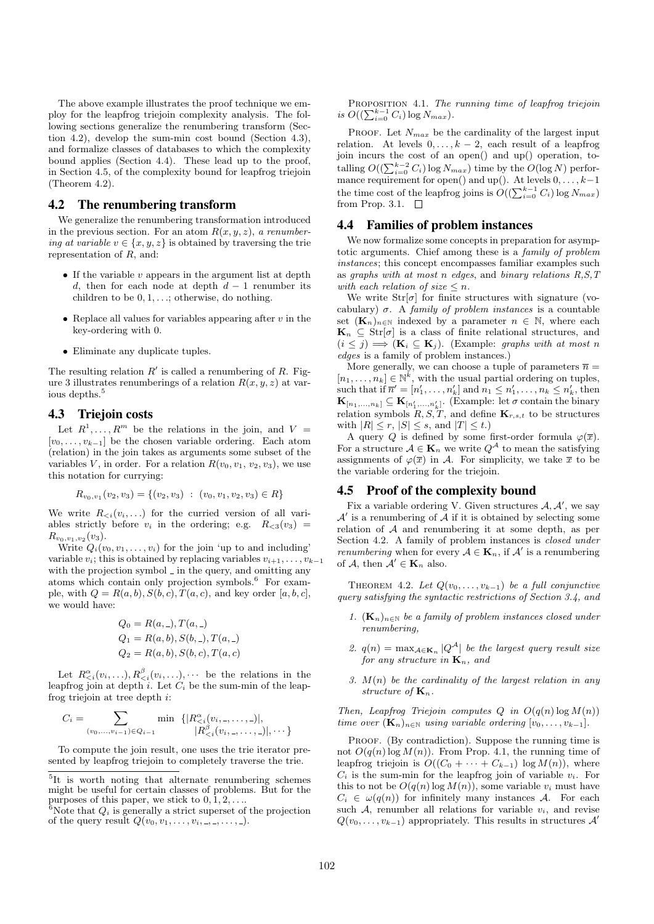The above example illustrates the proof technique we employ for the leapfrog triejoin complexity analysis. The following sections generalize the renumbering transform (Section 4.2), develop the sum-min cost bound (Section 4.3), and formalize classes of databases to which the complexity bound applies (Section 4.4). These lead up to the proof, in Section 4.5, of the complexity bound for leapfrog triejoin (Theorem 4.2).

# 4.2 The renumbering transform

We generalize the renumbering transformation introduced in the previous section. For an atom  $R(x, y, z)$ , *a renumbering at variable*  $v \in \{x, y, z\}$  is obtained by traversing the trie representation of *R*, and:

- *•* If the variable *v* appears in the argument list at depth *d*, then for each node at depth  $d-1$  renumber its children to be 0*,* 1*, . . .*; otherwise, do nothing.
- *•* Replace all values for variables appearing after *v* in the key-ordering with 0.
- *•* Eliminate any duplicate tuples.

The resulting relation *R ′* is called a renumbering of *R*. Figure 3 illustrates renumberings of a relation  $R(x, y, z)$  at various depths.<sup>5</sup>

## 4.3 Triejoin costs

Let  $R^1, \ldots, R^m$  be the relations in the join, and  $V =$ [*v*0*, . . . , v<sup>k</sup>−*<sup>1</sup>] be the chosen variable ordering. Each atom (relation) in the join takes as arguments some subset of the variables *V*, in order. For a relation  $R(v_0, v_1, v_2, v_3)$ , we use this notation for currying:

$$
R_{v_0,v_1}(v_2,v_3) = \{(v_2,v_3) : (v_0,v_1,v_2,v_3) \in R\}
$$

We write  $R_{\leq i}(v_i, \ldots)$  for the curried version of all variables strictly before  $v_i$  in the ordering; e.g.  $R_{\leq 3}(v_3)$  =  $R_{v_0,v_1,v_2}(v_3)$ .

Write  $Q_i(v_0, v_1, \ldots, v_i)$  for the join 'up to and including' variable  $v_i$ ; this is obtained by replacing variables  $v_{i+1}, \ldots, v_{k-1}$ with the projection symbol  $\overline{\phantom{a}}$  in the query, and omitting any atoms which contain only projection symbols.<sup>6</sup> For example, with  $Q = R(a, b), S(b, c), T(a, c),$  and key order [a, b, c], we would have:

$$
Q_0 = R(a, -), T(a, -)
$$
  
\n
$$
Q_1 = R(a, b), S(b, -), T(a, -)
$$
  
\n
$$
Q_2 = R(a, b), S(b, c), T(a, c)
$$

Let  $R_{\leq i}^{\alpha}(v_i, \ldots), R_{\leq i}^{\beta}(v_i, \ldots), \cdots$  be the relations in the leapfrog join at depth  $i$ . Let  $C_i$  be the sum-min of the leapfrog triejoin at tree depth *i*:

$$
C_i = \sum_{(v_0, \ldots, v_{i-1}) \in Q_{i-1}} \min \{ |R_{< i}^{\alpha}(v_{i}, \ldots, \ldots, \ldots)|, \\ |R_{< i}^{\beta}(v_{i}, \ldots, \ldots, \ldots, \ldots)|, \ldots \}
$$

To compute the join result, one uses the trie iterator presented by leapfrog triejoin to completely traverse the trie.

Proposition 4.1. *The running time of leapfrog triejoin*  $i s \ O((\sum_{i=0}^{k-1} C_i) \log N_{max}).$ 

PROOF. Let  $N_{max}$  be the cardinality of the largest input relation. At levels  $0, \ldots, k-2$ , each result of a leapfrog join incurs the cost of an open() and up() operation, totalling  $O((\sum_{i=0}^{k-2} C_i) \log N_{max})$  time by the  $O(\log N)$  performance requirement for open() and up(). At levels 0*, . . . , k−*1 the time cost of the leapfrog joins is  $O((\sum_{i=0}^{k-1} C_i) \log N_{max})$ from Prop. 3.1.  $\Box$ 

#### 4.4 Families of problem instances

We now formalize some concepts in preparation for asymptotic arguments. Chief among these is a *family of problem instances*; this concept encompasses familiar examples such as *graphs with at most n edges*, and *binary relations R,S,T with each relation of size*  $\leq n$ *.* 

We write  $Str[\sigma]$  for finite structures with signature (vocabulary)  $\sigma$ . A *family of problem instances* is a countable set  $(\mathbf{K}_n)_{n\in\mathbb{N}}$  indexed by a parameter  $n \in \mathbb{N}$ , where each  $\mathbf{K}_n \subseteq \text{Str}[\sigma]$  is a class of finite relational structures, and  $(i \leq j) \implies (\mathbf{K}_i \subseteq \mathbf{K}_j)$ . (Example: *graphs with at most n edges* is a family of problem instances.)

More generally, we can choose a tuple of parameters  $\bar{n}$  =  $[n_1, \ldots, n_k] \in \mathbb{N}^k$ , with the usual partial ordering on tuples, such that if  $\overline{n}' = [n'_1, \ldots, n'_k]$  and  $n_1 \leq n'_1, \ldots, n_k \leq n'_k$ , then  $\mathbf{K}_{[n_1,\ldots,n_k]} \subseteq \mathbf{K}_{[n'_1,\ldots,n'_k]}$ . (Example: let  $\sigma$  contain the binary relation symbols  $R, S, T$ , and define  $\mathbf{K}_{r,s,t}$  to be structures with  $|R| \leq r$ ,  $|S| \leq s$ , and  $|T| \leq t$ .)

A query *Q* is defined by some first-order formula  $\varphi(\overline{x})$ . For a structure  $A \in \mathbf{K}_n$  we write  $Q^A$  to mean the satisfying assignments of  $\varphi(\overline{x})$  in *A*. For simplicity, we take  $\overline{x}$  to be the variable ordering for the triejoin.

#### 4.5 Proof of the complexity bound

Fix a variable ordering V. Given structures  $A, A'$ , we say  $\mathcal{A}'$  is a renumbering of  $\mathcal{A}$  if it is obtained by selecting some relation of *A* and renumbering it at some depth, as per Section 4.2. A family of problem instances is *closed under renumbering* when for every  $A \in \mathbf{K}_n$ , if  $A'$  is a renumbering of *A*, then  $A' \in \mathbf{K}_n$  also.

THEOREM 4.2. Let  $Q(v_0, \ldots, v_{k-1})$  be a full conjunctive *query satisfying the syntactic restrictions of Section 3.4, and*

- *1.*  $(K_n)_{n \in \mathbb{N}}$  be a family of problem instances closed under *renumbering,*
- *2.*  $q(n) = \max_{A \in \mathbf{K}_n} |Q^A|$  *be the largest query result size for any structure in* **K***n, and*
- *3. M*(*n*) *be the cardinality of the largest relation in any structure of* **K***n.*

*Then, Leapfrog Triejoin computes*  $Q$  *in*  $O(q(n) \log M(n))$ *time over*  $(K_n)_{n \in \mathbb{N}}$  *using variable ordering*  $[v_0, \ldots, v_{k-1}]$ *.* 

PROOF. (By contradiction). Suppose the running time is not  $O(q(n) \log M(n))$ . From Prop. 4.1, the running time of leapfrog triejoin is  $O((C_0 + \cdots + C_{k-1}) \log M(n))$ , where  $C_i$  is the sum-min for the leapfrog join of variable  $v_i$ . For this to not be  $O(q(n) \log M(n))$ , some variable  $v_i$  must have  $C_i \in \omega(q(n))$  for infinitely many instances *A*. For each such  $A$ , renumber all relations for variable  $v_i$ , and revise  $Q(v_0, \ldots, v_{k-1})$  appropriately. This results in structures  $A'$ 

<sup>&</sup>lt;sup>5</sup>It is worth noting that alternate renumbering schemes might be useful for certain classes of problems. But for the purposes of this paper, we stick to  $0, 1, 2, \ldots$ 

<sup>&</sup>lt;sup>6</sup>Note that  $Q_i$  is generally a strict superset of the projection of the query result  $Q(v_0, v_1, \ldots, v_i, \ldots, \ldots, \ldots).$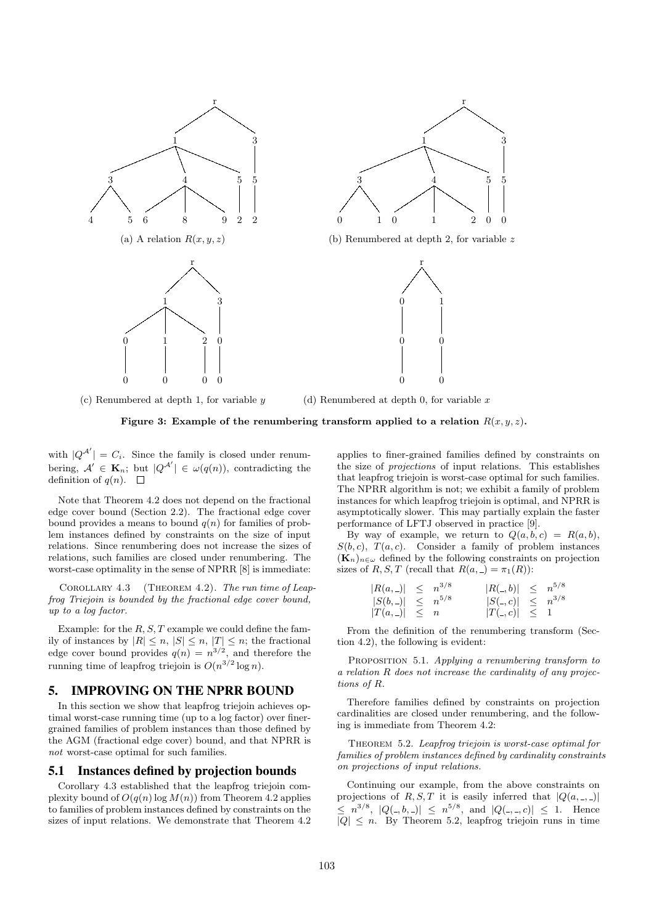

(c) Renumbered at depth 1, for variable *y* (d) Renumbered at depth 0, for variable *x*

**Figure 3:** Example of the renumbering transform applied to a relation  $R(x, y, z)$ .

with  $|Q^{\mathcal{A}'}| = C_i$ . Since the family is closed under renumbering,  $A' \in \mathbf{K}_n$ ; but  $|Q^{A'}| \in \omega(q(n))$ , contradicting the definition of  $q(n)$ .  $\square$ 

Note that Theorem 4.2 does not depend on the fractional edge cover bound (Section 2.2). The fractional edge cover bound provides a means to bound  $q(n)$  for families of problem instances defined by constraints on the size of input relations. Since renumbering does not increase the sizes of relations, such families are closed under renumbering. The worst-case optimality in the sense of NPRR [8] is immediate:

Corollary 4.3 (Theorem 4.2). *The run time of Leapfrog Triejoin is bounded by the fractional edge cover bound, up to a log factor.*

Example: for the *R, S, T* example we could define the family of instances by  $|R| \leq n, |S| \leq n, |T| \leq n$ ; the fractional edge cover bound provides  $q(n) = n^{3/2}$ , and therefore the running time of leapfrog triejoin is  $O(n^{3/2} \log n)$ .

# 5. IMPROVING ON THE NPRR BOUND

In this section we show that leapfrog triejoin achieves optimal worst-case running time (up to a log factor) over finergrained families of problem instances than those defined by the AGM (fractional edge cover) bound, and that NPRR is *not* worst-case optimal for such families.

## 5.1 Instances defined by projection bounds

Corollary 4.3 established that the leapfrog triejoin complexity bound of  $O(q(n) \log M(n))$  from Theorem 4.2 applies to families of problem instances defined by constraints on the sizes of input relations. We demonstrate that Theorem 4.2 applies to finer-grained families defined by constraints on the size of *projections* of input relations. This establishes that leapfrog triejoin is worst-case optimal for such families. The NPRR algorithm is not; we exhibit a family of problem instances for which leapfrog triejoin is optimal, and NPRR is asymptotically slower. This may partially explain the faster performance of LFTJ observed in practice [9].

By way of example, we return to  $Q(a, b, c) = R(a, b)$ ,  $S(b, c)$ ,  $T(a, c)$ . Consider a family of problem instances  $(\mathbf{K}_n)_{n \in \omega}$  defined by the following constraints on projection sizes of *R, S, T* (recall that  $R(a, ) = \pi_1(R)$ ):

| $ R(a,-)  \leq n^{3/8}$   |  | $ R(0, b)  \leq n^{5/8}$ |  |
|---------------------------|--|--------------------------|--|
| $ S(b, \_)  \leq n^{5/8}$ |  | $ S(., c)  \leq n^{3/8}$ |  |
| $ T(a, \_)  \leq n$       |  | $ T(., c)  \leq 1$       |  |

From the definition of the renumbering transform (Section 4.2), the following is evident:

Proposition 5.1. *Applying a renumbering transform to a relation R does not increase the cardinality of any projections of R.*

Therefore families defined by constraints on projection cardinalities are closed under renumbering, and the following is immediate from Theorem 4.2:

Theorem 5.2. *Leapfrog triejoin is worst-case optimal for families of problem instances defined by cardinality constraints on projections of input relations.*

Continuing our example, from the above constraints on projections of *R, S, T* it is easily inferred that  $|Q(a, \, \ldots, \, \ldots)|$  $\leq n^{3/8}, |Q(., b, .)| \leq n^{5/8}, \text{ and } |Q(.,., c)| \leq 1. \text{ Hence}$  $|Q| \leq n$ . By Theorem 5.2, leapfrog triejoin runs in time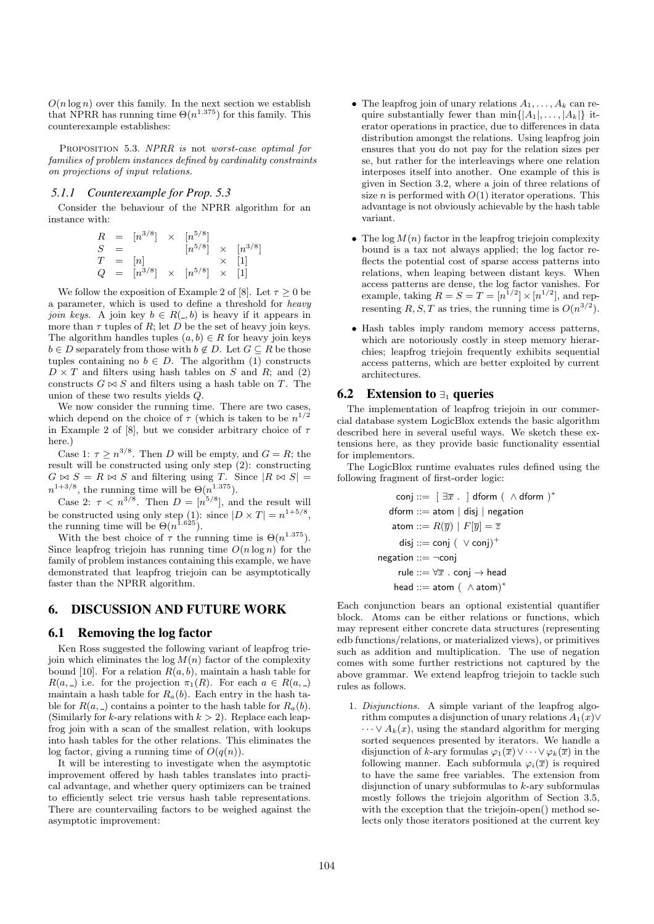$O(n \log n)$  over this family. In the next section we establish that NPRR has running time  $\Theta(n^{1.375})$  for this family. This counterexample establishes:

Proposition 5.3. *NPRR is* not *worst-case optimal for families of problem instances defined by cardinality constraints on projections of input relations.*

#### *5.1.1 Counterexample for Prop. 5.3*

Consider the behaviour of the NPRR algorithm for an instance with:

$$
R = [n^{3/8}] \times [n^{5/8}]
$$
  
\n
$$
S = [n] \times [n^{3/8}] \times [n^{3/8}]
$$
  
\n
$$
Q = [n^{3/8}] \times [n^{5/8}] \times [1]
$$

We follow the exposition of Example 2 of [8]. Let  $\tau \geq 0$  be a parameter, which is used to define a threshold for *heavy join keys.* A join key  $b \in R(-, b)$  is heavy if it appears in more than  $\tau$  tuples of  $R$ ; let  $D$  be the set of heavy join keys. The algorithm handles tuples  $(a, b) \in R$  for heavy join keys  $b \in D$  separately from those with  $b \notin D$ . Let  $G \subseteq R$  be those tuples containing no  $b \in D$ . The algorithm (1) constructs  $D \times T$  and filters using hash tables on *S* and *R*; and (2) constructs  $G \bowtie S$  and filters using a hash table on *T*. The union of these two results yields *Q*.

We now consider the running time. There are two cases, which depend on the choice of  $\tau$  (which is taken to be  $n^{1/2}$ in Example 2 of [8], but we consider arbitrary choice of *τ* here.)

Case 1:  $\tau \geq n^{3/8}$ . Then *D* will be empty, and  $G = R$ ; the result will be constructed using only step (2): constructing  $G \bowtie S = R \bowtie S$  and filtering using *T*. Since  $|R \bowtie S|$  $n^{1+3/8}$ , the running time will be  $\Theta(n^{1.375})$ .

Case 2:  $\tau < n^{3/8}$ . Then  $D = [n^{5/8}]$ , and the result will be constructed using only step (1): since  $|D \times T| = n^{1+5/8}$ , the running time will be  $\Theta(n^{1.625})$ .

With the best choice of  $\tau$  the running time is  $\Theta(n^{1.375})$ . Since leapfrog triejoin has running time  $O(n \log n)$  for the family of problem instances containing this example, we have demonstrated that leapfrog triejoin can be asymptotically faster than the NPRR algorithm.

#### 6. DISCUSSION AND FUTURE WORK

#### 6.1 Removing the log factor

Ken Ross suggested the following variant of leapfrog triejoin which eliminates the  $log M(n)$  factor of the complexity bound [10]. For a relation  $R(a, b)$ , maintain a hash table for *R*(*a*,  $=$ ) i.e. for the projection  $\pi_1(R)$ . For each  $a \in R(a, 1)$ maintain a hash table for  $R_a(b)$ . Each entry in the hash table for  $R(a, \_)$  contains a pointer to the hash table for  $R_a(b)$ . (Similarly for *k*-ary relations with  $k > 2$ ). Replace each leapfrog join with a scan of the smallest relation, with lookups into hash tables for the other relations. This eliminates the log factor, giving a running time of  $O(q(n))$ .

It will be interesting to investigate when the asymptotic improvement offered by hash tables translates into practical advantage, and whether query optimizers can be trained to efficiently select trie versus hash table representations. There are countervailing factors to be weighed against the asymptotic improvement:

- The leapfrog join of unary relations  $A_1, \ldots, A_k$  can require substantially fewer than  $\min\{|A_1|, \ldots, |A_k|\}$  iterator operations in practice, due to differences in data distribution amongst the relations. Using leapfrog join ensures that you do not pay for the relation sizes per se, but rather for the interleavings where one relation interposes itself into another. One example of this is given in Section 3.2, where a join of three relations of size *n* is performed with  $O(1)$  iterator operations. This advantage is not obviously achievable by the hash table variant.
- *•* The log *M*(*n*) factor in the leapfrog triejoin complexity bound is a tax not always applied; the log factor reflects the potential cost of sparse access patterns into relations, when leaping between distant keys. When access patterns are dense, the log factor vanishes. For example, taking  $R = S = T = [n^{1/2}] \times [n^{1/2}]$ , and representing *R*, *S*, *T* as tries, the running time is  $O(n^{3/2})$ .
- *•* Hash tables imply random memory access patterns, which are notoriously costly in steep memory hierarchies; leapfrog triejoin frequently exhibits sequential access patterns, which are better exploited by current architectures.

## 6.2 Extension to *∃*<sup>1</sup> queries

The implementation of leapfrog triejoin in our commercial database system LogicBlox extends the basic algorithm described here in several useful ways. We sketch these extensions here, as they provide basic functionality essential for implementors.

The LogicBlox runtime evaluates rules defined using the following fragment of first-order logic:

$$
\begin{aligned}\n\text{conj} &::= \ [\ \exists \overline{x} \ . \ ] \ \text{dform } (\ \land \text{dform } )^* \\
\text{dform} &::= \text{atom} \ | \ \text{disj} \ | \ \text{negation} \\
\text{atom} &::= R(\overline{y}) \ | \ F[\overline{y}] = \overline{z} \\
\text{disj} &::= \text{conj } (\ \lor \text{conj})^+ \\
\text{negation} &::= \neg \text{conj} \\
\text{rule} &::= \forall \overline{x} \ . \ \text{conj} \rightarrow \text{head} \\
\text{head} &::= \text{atom} \ (\ \land \text{atom})^*\n\end{aligned}
$$

Each conjunction bears an optional existential quantifier block. Atoms can be either relations or functions, which may represent either concrete data structures (representing edb functions/relations, or materialized views), or primitives such as addition and multiplication. The use of negation comes with some further restrictions not captured by the above grammar. We extend leapfrog triejoin to tackle such rules as follows.

1. *Disjunctions.* A simple variant of the leapfrog algorithm computes a disjunction of unary relations  $A_1(x)$ ∨  $\cdots \vee A_k(x)$ , using the standard algorithm for merging sorted sequences presented by iterators. We handle a disjunction of *k*-ary formulas  $\varphi_1(\overline{x}) \vee \cdots \vee \varphi_k(\overline{x})$  in the following manner. Each subformula  $\varphi_i(\overline{x})$  is required to have the same free variables. The extension from disjunction of unary subformulas to *k*-ary subformulas mostly follows the triejoin algorithm of Section 3.5, with the exception that the triejoin-open() method selects only those iterators positioned at the current key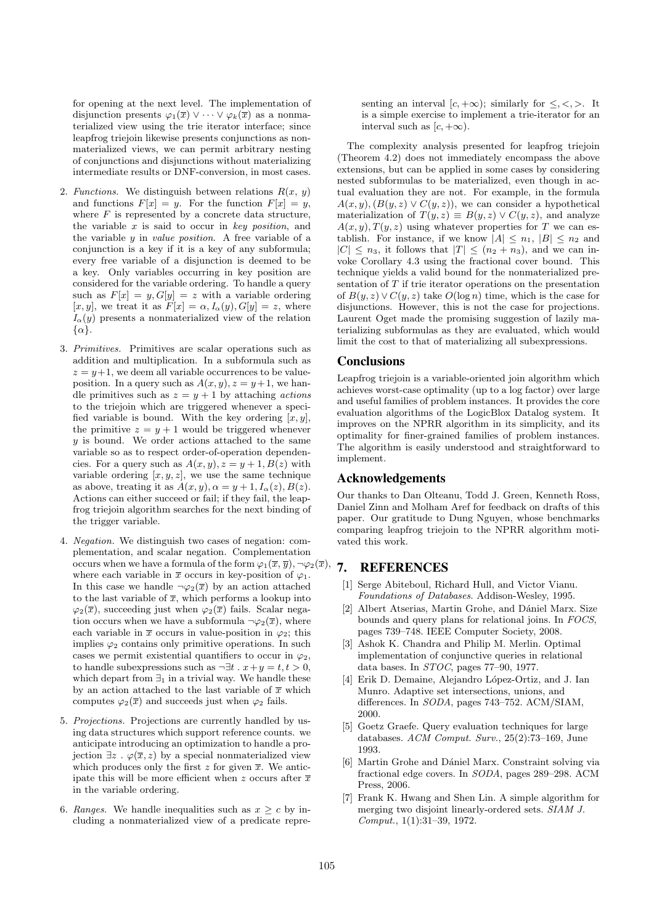for opening at the next level. The implementation of disjunction presents  $\varphi_1(\overline{x}) \vee \cdots \vee \varphi_k(\overline{x})$  as a nonmaterialized view using the trie iterator interface; since leapfrog triejoin likewise presents conjunctions as nonmaterialized views, we can permit arbitrary nesting of conjunctions and disjunctions without materializing intermediate results or DNF-conversion, in most cases.

- 2. *Functions*. We distinguish between relations  $R(x, y)$ and functions  $F[x] = y$ . For the function  $F[x] = y$ , where  $F$  is represented by a concrete data structure, the variable *x* is said to occur in *key position*, and the variable *y* in *value position*. A free variable of a conjunction is a key if it is a key of any subformula; every free variable of a disjunction is deemed to be a key. Only variables occurring in key position are considered for the variable ordering. To handle a query such as  $F[x] = y$ ,  $G[y] = z$  with a variable ordering  $[x, y]$ , we treat it as  $F[x] = \alpha$ ,  $I_{\alpha}(y)$ ,  $G[y] = z$ , where  $I_{\alpha}(y)$  presents a nonmaterialized view of the relation *{α}*.
- 3. *Primitives.* Primitives are scalar operations such as addition and multiplication. In a subformula such as  $z = y+1$ , we deem all variable occurrences to be valueposition. In a query such as  $A(x, y)$ ,  $z = y + 1$ , we handle primitives such as  $z = y + 1$  by attaching *actions* to the triejoin which are triggered whenever a specified variable is bound. With the key ordering  $[x, y]$ , the primitive  $z = y + 1$  would be triggered whenever *y* is bound. We order actions attached to the same variable so as to respect order-of-operation dependencies. For a query such as  $A(x, y), z = y + 1, B(z)$  with variable ordering  $[x, y, z]$ , we use the same technique as above, treating it as  $A(x, y), \alpha = y + 1, I_{\alpha}(z), B(z)$ . Actions can either succeed or fail; if they fail, the leapfrog triejoin algorithm searches for the next binding of the trigger variable.
- 4. *Negation.* We distinguish two cases of negation: complementation, and scalar negation. Complementation occurs when we have a formula of the form  $\varphi_1(\bar{x}, \bar{y}), \neg \varphi_2(\bar{x}),$ where each variable in  $\bar{x}$  occurs in key-position of  $\varphi_1$ . In this case we handle  $\neg \varphi_2(\overline{x})$  by an action attached to the last variable of  $\bar{x}$ , which performs a lookup into  $\varphi_2(\overline{x})$ , succeeding just when  $\varphi_2(\overline{x})$  fails. Scalar negation occurs when we have a subformula  $\neg \varphi_2(\overline{x})$ , where each variable in  $\bar{x}$  occurs in value-position in  $\varphi_2$ ; this implies  $\varphi_2$  contains only primitive operations. In such cases we permit existential quantifiers to occur in  $\varphi_2$ , to handle subexpressions such as  $\neg \exists t \cdot x + y = t, t > 0$ , which depart from *∃*<sup>1</sup> in a trivial way. We handle these by an action attached to the last variable of  $\bar{x}$  which computes  $\varphi_2(\overline{x})$  and succeeds just when  $\varphi_2$  fails.
- 5. *Projections.* Projections are currently handled by using data structures which support reference counts. we anticipate introducing an optimization to handle a projection *∃z . φ*(*x, z*) by a special nonmaterialized view which produces only the first  $z$  for given  $\overline{x}$ . We anticipate this will be more efficient when *z* occurs after  $\bar{x}$ in the variable ordering.
- 6. *Ranges*. We handle inequalities such as  $x \geq c$  by including a nonmaterialized view of a predicate repre-

senting an interval  $[c, +\infty)$ ; similarly for  $\leq, <, >$ . It is a simple exercise to implement a trie-iterator for an interval such as  $[c, +\infty)$ .

The complexity analysis presented for leapfrog triejoin (Theorem 4.2) does not immediately encompass the above extensions, but can be applied in some cases by considering nested subformulas to be materialized, even though in actual evaluation they are not. For example, in the formula  $A(x, y)$ ,  $(B(y, z) \vee C(y, z))$ , we can consider a hypothetical materialization of  $T(y, z) \equiv B(y, z) \vee C(y, z)$ , and analyze  $A(x, y), T(y, z)$  using whatever properties for *T* we can establish. For instance, if we know  $|A| \leq n_1$ ,  $|B| \leq n_2$  and  $|C| \leq n_3$ , it follows that  $|T| \leq (n_2 + n_3)$ , and we can invoke Corollary 4.3 using the fractional cover bound. This technique yields a valid bound for the nonmaterialized presentation of *T* if trie iterator operations on the presentation of  $B(y, z) \vee C(y, z)$  take  $O(\log n)$  time, which is the case for disjunctions. However, this is not the case for projections. Laurent Oget made the promising suggestion of lazily materializing subformulas as they are evaluated, which would limit the cost to that of materializing all subexpressions.

#### **Conclusions**

Leapfrog triejoin is a variable-oriented join algorithm which achieves worst-case optimality (up to a log factor) over large and useful families of problem instances. It provides the core evaluation algorithms of the LogicBlox Datalog system. It improves on the NPRR algorithm in its simplicity, and its optimality for finer-grained families of problem instances. The algorithm is easily understood and straightforward to implement.

# Acknowledgements

Our thanks to Dan Olteanu, Todd J. Green, Kenneth Ross, Daniel Zinn and Molham Aref for feedback on drafts of this paper. Our gratitude to Dung Nguyen, whose benchmarks comparing leapfrog triejoin to the NPRR algorithm motivated this work.

# 7. REFERENCES

- [1] Serge Abiteboul, Richard Hull, and Victor Vianu. *Foundations of Databases*. Addison-Wesley, 1995.
- [2] Albert Atserias, Martin Grohe, and Dániel Marx. Size bounds and query plans for relational joins. In *FOCS*, pages 739–748. IEEE Computer Society, 2008.
- [3] Ashok K. Chandra and Philip M. Merlin. Optimal implementation of conjunctive queries in relational data bases. In *STOC*, pages 77–90, 1977.
- [4] Erik D. Demaine, Alejandro López-Ortiz, and J. Ian Munro. Adaptive set intersections, unions, and differences. In *SODA*, pages 743–752. ACM/SIAM, 2000.
- [5] Goetz Graefe. Query evaluation techniques for large databases. *ACM Comput. Surv.*, 25(2):73–169, June 1993.
- [6] Martin Grohe and Dániel Marx. Constraint solving via fractional edge covers. In *SODA*, pages 289–298. ACM Press, 2006.
- [7] Frank K. Hwang and Shen Lin. A simple algorithm for merging two disjoint linearly-ordered sets. *SIAM J. Comput.*, 1(1):31–39, 1972.